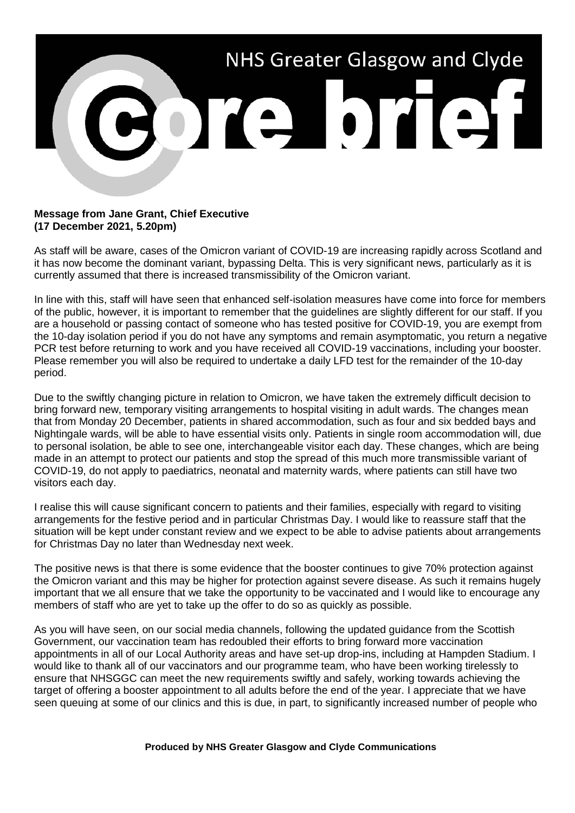

## **Message from Jane Grant, Chief Executive (17 December 2021, 5.20pm)**

As staff will be aware, cases of the Omicron variant of COVID-19 are increasing rapidly across Scotland and it has now become the dominant variant, bypassing Delta. This is very significant news, particularly as it is currently assumed that there is increased transmissibility of the Omicron variant.

In line with this, staff will have seen that enhanced self-isolation measures have come into force for members of the public, however, it is important to remember that the guidelines are slightly different for our staff. If you are a household or passing contact of someone who has tested positive for COVID-19, you are exempt from the 10-day isolation period if you do not have any symptoms and remain asymptomatic, you return a negative PCR test before returning to work and you have received all COVID-19 vaccinations, including your booster. Please remember you will also be required to undertake a daily LFD test for the remainder of the 10-day period.

Due to the swiftly changing picture in relation to Omicron, we have taken the extremely difficult decision to bring forward new, temporary visiting arrangements to hospital visiting in adult wards. The changes mean that from Monday 20 December, patients in shared accommodation, such as four and six bedded bays and Nightingale wards, will be able to have essential visits only. Patients in single room accommodation will, due to personal isolation, be able to see one, interchangeable visitor each day. These changes, which are being made in an attempt to protect our patients and stop the spread of this much more transmissible variant of COVID-19, do not apply to paediatrics, neonatal and maternity wards, where patients can still have two visitors each day.

I realise this will cause significant concern to patients and their families, especially with regard to visiting arrangements for the festive period and in particular Christmas Day. I would like to reassure staff that the situation will be kept under constant review and we expect to be able to advise patients about arrangements for Christmas Day no later than Wednesday next week.

The positive news is that there is some evidence that the booster continues to give 70% protection against the Omicron variant and this may be higher for protection against severe disease. As such it remains hugely important that we all ensure that we take the opportunity to be vaccinated and I would like to encourage any members of staff who are yet to take up the offer to do so as quickly as possible.

As you will have seen, on our social media channels, following the updated guidance from the Scottish Government, our vaccination team has redoubled their efforts to bring forward more vaccination appointments in all of our Local Authority areas and have set-up drop-ins, including at Hampden Stadium. I would like to thank all of our vaccinators and our programme team, who have been working tirelessly to ensure that NHSGGC can meet the new requirements swiftly and safely, working towards achieving the target of offering a booster appointment to all adults before the end of the year. I appreciate that we have seen queuing at some of our clinics and this is due, in part, to significantly increased number of people who